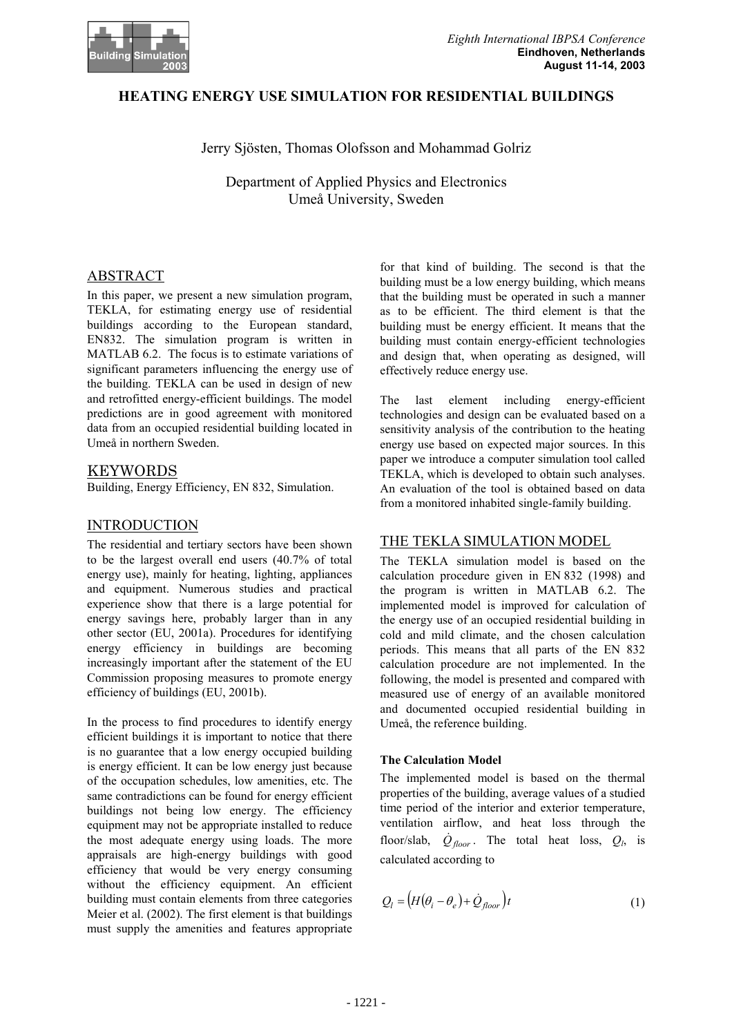

### **HEATING ENERGY USE SIMULATION FOR RESIDENTIAL BUILDINGS**

### Jerry Sjösten, Thomas Olofsson and Mohammad Golriz

Department of Applied Physics and Electronics Umeå University, Sweden

## ABSTRACT

In this paper, we present a new simulation program, TEKLA, for estimating energy use of residential buildings according to the European standard, EN832. The simulation program is written in MATLAB 6.2. The focus is to estimate variations of significant parameters influencing the energy use of the building. TEKLA can be used in design of new and retrofitted energy-efficient buildings. The model predictions are in good agreement with monitored data from an occupied residential building located in Umeå in northern Sweden.

## KEYWORDS

Building, Energy Efficiency, EN 832, Simulation.

# INTRODUCTION

The residential and tertiary sectors have been shown to be the largest overall end users (40.7% of total energy use), mainly for heating, lighting, appliances and equipment. Numerous studies and practical experience show that there is a large potential for energy savings here, probably larger than in any other sector (EU, 2001a). Procedures for identifying energy efficiency in buildings are becoming increasingly important after the statement of the EU Commission proposing measures to promote energy efficiency of buildings (EU, 2001b).

In the process to find procedures to identify energy efficient buildings it is important to notice that there is no guarantee that a low energy occupied building is energy efficient. It can be low energy just because of the occupation schedules, low amenities, etc. The same contradictions can be found for energy efficient buildings not being low energy. The efficiency equipment may not be appropriate installed to reduce the most adequate energy using loads. The more appraisals are high-energy buildings with good efficiency that would be very energy consuming without the efficiency equipment. An efficient building must contain elements from three categories Meier et al. (2002). The first element is that buildings must supply the amenities and features appropriate

for that kind of building. The second is that the building must be a low energy building, which means that the building must be operated in such a manner as to be efficient. The third element is that the building must be energy efficient. It means that the building must contain energy-efficient technologies and design that, when operating as designed, will effectively reduce energy use.

The last element including energy-efficient technologies and design can be evaluated based on a sensitivity analysis of the contribution to the heating energy use based on expected major sources. In this paper we introduce a computer simulation tool called TEKLA, which is developed to obtain such analyses. An evaluation of the tool is obtained based on data from a monitored inhabited single-family building.

# THE TEKLA SIMULATION MODEL

The TEKLA simulation model is based on the calculation procedure given in EN 832 (1998) and the program is written in MATLAB 6.2. The implemented model is improved for calculation of the energy use of an occupied residential building in cold and mild climate, and the chosen calculation periods. This means that all parts of the EN 832 calculation procedure are not implemented. In the following, the model is presented and compared with measured use of energy of an available monitored and documented occupied residential building in Umeå, the reference building.

### **The Calculation Model**

The implemented model is based on the thermal properties of the building, average values of a studied time period of the interior and exterior temperature, ventilation airflow, and heat loss through the floor/slab,  $\dot{Q}_{floor}$ . The total heat loss,  $Q_l$ , is calculated according to

$$
Q_l = (H(\theta_i - \theta_e) + \dot{Q}_{floor})t
$$
\n(1)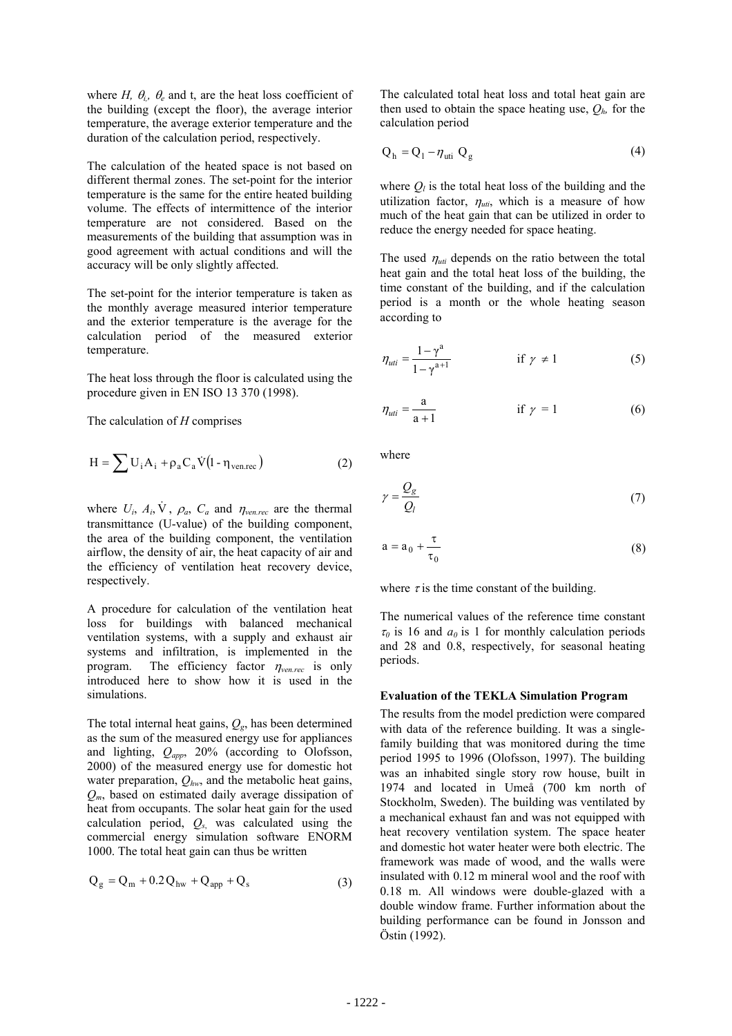where *H,*  $\theta_i$ *,*  $\theta_e$  and t, are the heat loss coefficient of the building (except the floor), the average interior temperature, the average exterior temperature and the duration of the calculation period, respectively.

The calculation of the heated space is not based on different thermal zones. The set-point for the interior temperature is the same for the entire heated building volume. The effects of intermittence of the interior temperature are not considered. Based on the measurements of the building that assumption was in good agreement with actual conditions and will the accuracy will be only slightly affected.

The set-point for the interior temperature is taken as the monthly average measured interior temperature and the exterior temperature is the average for the calculation period of the measured exterior temperature.

The heat loss through the floor is calculated using the procedure given in EN ISO 13 370 (1998).

The calculation of *H* comprises

$$
H = \sum U_i A_i + \rho_a C_a V (1 - \eta_{ven,rec})
$$
 (2)

where  $U_i$ ,  $A_i$ ,  $\dot{V}$ ,  $\rho_a$ ,  $C_a$  and  $\eta_{ven,rec}$  are the thermal transmittance (U-value) of the building component, the area of the building component, the ventilation airflow, the density of air, the heat capacity of air and the efficiency of ventilation heat recovery device, respectively.

A procedure for calculation of the ventilation heat loss for buildings with balanced mechanical ventilation systems, with a supply and exhaust air systems and infiltration, is implemented in the program. The efficiency factor <sup>η</sup>*ven.rec* is only introduced here to show how it is used in the simulations.

The total internal heat gains, *Qg*, has been determined as the sum of the measured energy use for appliances and lighting, *Qapp*, 20% (according to Olofsson, 2000) of the measured energy use for domestic hot water preparation,  $Q_{hw}$ , and the metabolic heat gains, *Qm*, based on estimated daily average dissipation of heat from occupants. The solar heat gain for the used calculation period, *Qs*, was calculated using the commercial energy simulation software ENORM 1000. The total heat gain can thus be written

$$
Q_{g} = Q_{m} + 0.2 Q_{hw} + Q_{app} + Q_{s}
$$
 (3)

The calculated total heat loss and total heat gain are then used to obtain the space heating use,  $Q_h$ , for the calculation period

$$
Q_h = Q_l - \eta_{uti} Q_g \tag{4}
$$

where  $Q_l$  is the total heat loss of the building and the utilization factor,  $\eta_{uti}$ , which is a measure of how much of the heat gain that can be utilized in order to reduce the energy needed for space heating.

The used  $\eta_{uti}$  depends on the ratio between the total heat gain and the total heat loss of the building, the time constant of the building, and if the calculation period is a month or the whole heating season according to

$$
\eta_{uti} = \frac{1 - \gamma^a}{1 - \gamma^{a+1}} \qquad \qquad \text{if } \gamma \neq 1 \tag{5}
$$

$$
\eta_{uti} = \frac{a}{a+1} \qquad \qquad \text{if } \gamma = 1 \tag{6}
$$

where

$$
\gamma = \frac{Q_g}{Q_l} \tag{7}
$$

$$
a = a_0 + \frac{\tau}{\tau_0} \tag{8}
$$

where  $\tau$  is the time constant of the building.

The numerical values of the reference time constant  $\tau_0$  is 16 and  $a_0$  is 1 for monthly calculation periods and 28 and 0.8, respectively, for seasonal heating periods.

#### **Evaluation of the TEKLA Simulation Program**

The results from the model prediction were compared with data of the reference building. It was a singlefamily building that was monitored during the time period 1995 to 1996 (Olofsson, 1997). The building was an inhabited single story row house, built in 1974 and located in Umeå (700 km north of Stockholm, Sweden). The building was ventilated by a mechanical exhaust fan and was not equipped with heat recovery ventilation system. The space heater and domestic hot water heater were both electric. The framework was made of wood, and the walls were insulated with 0.12 m mineral wool and the roof with 0.18 m. All windows were double-glazed with a double window frame. Further information about the building performance can be found in Jonsson and Östin (1992).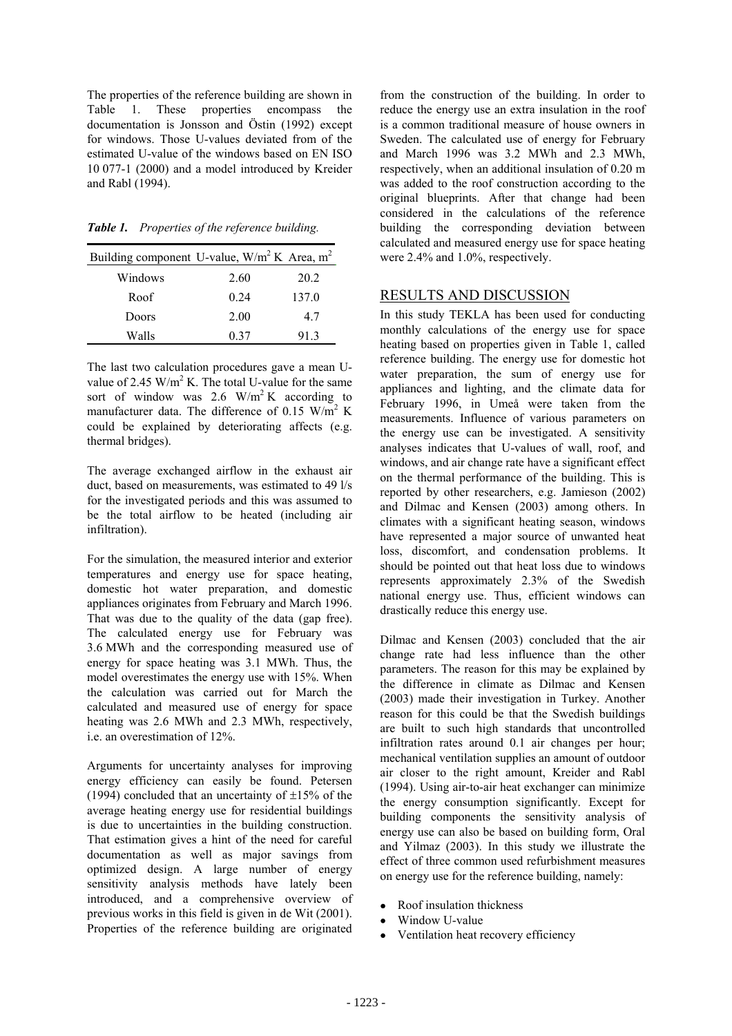The properties of the reference building are shown in Table 1. These properties encompass the documentation is Jonsson and Östin (1992) except for windows. Those U-values deviated from of the estimated U-value of the windows based on EN ISO 10 077-1 (2000) and a model introduced by Kreider and Rabl (1994).

*Table 1. Properties of the reference building.* 

| Building component U-value, $W/m^2 K$ Area, m <sup>2</sup> |      |       |
|------------------------------------------------------------|------|-------|
| Windows                                                    | 2.60 | 20.2  |
| Roof                                                       | 0.24 | 137.0 |
| Doors                                                      | 2.00 | 47    |
| Walls                                                      | 0.37 | 913   |

The last two calculation procedures gave a mean Uvalue of 2.45  $W/m^2 K$ . The total U-value for the same sort of window was 2.6  $\text{W/m}^2$  K according to manufacturer data. The difference of 0.15  $\text{W/m}^2$  K could be explained by deteriorating affects (e.g. thermal bridges).

The average exchanged airflow in the exhaust air duct, based on measurements, was estimated to 49 l/s for the investigated periods and this was assumed to be the total airflow to be heated (including air infiltration).

For the simulation, the measured interior and exterior temperatures and energy use for space heating, domestic hot water preparation, and domestic appliances originates from February and March 1996. That was due to the quality of the data (gap free). The calculated energy use for February was 3.6 MWh and the corresponding measured use of energy for space heating was 3.1 MWh. Thus, the model overestimates the energy use with 15%. When the calculation was carried out for March the calculated and measured use of energy for space heating was 2.6 MWh and 2.3 MWh, respectively, i.e. an overestimation of 12%.

Arguments for uncertainty analyses for improving energy efficiency can easily be found. Petersen (1994) concluded that an uncertainty of  $\pm 15\%$  of the average heating energy use for residential buildings is due to uncertainties in the building construction. That estimation gives a hint of the need for careful documentation as well as major savings from optimized design. A large number of energy sensitivity analysis methods have lately been introduced, and a comprehensive overview of previous works in this field is given in de Wit (2001). Properties of the reference building are originated

from the construction of the building. In order to reduce the energy use an extra insulation in the roof is a common traditional measure of house owners in Sweden. The calculated use of energy for February and March 1996 was 3.2 MWh and 2.3 MWh, respectively, when an additional insulation of 0.20 m was added to the roof construction according to the original blueprints. After that change had been considered in the calculations of the reference building the corresponding deviation between calculated and measured energy use for space heating were 2.4% and 1.0%, respectively.

## RESULTS AND DISCUSSION

In this study TEKLA has been used for conducting monthly calculations of the energy use for space heating based on properties given in Table 1, called reference building. The energy use for domestic hot water preparation, the sum of energy use for appliances and lighting, and the climate data for February 1996, in Umeå were taken from the measurements. Influence of various parameters on the energy use can be investigated. A sensitivity analyses indicates that U-values of wall, roof, and windows, and air change rate have a significant effect on the thermal performance of the building. This is reported by other researchers, e.g. Jamieson (2002) and Dilmac and Kensen (2003) among others. In climates with a significant heating season, windows have represented a major source of unwanted heat loss, discomfort, and condensation problems. It should be pointed out that heat loss due to windows represents approximately 2.3% of the Swedish national energy use. Thus, efficient windows can drastically reduce this energy use.

Dilmac and Kensen (2003) concluded that the air change rate had less influence than the other parameters. The reason for this may be explained by the difference in climate as Dilmac and Kensen (2003) made their investigation in Turkey. Another reason for this could be that the Swedish buildings are built to such high standards that uncontrolled infiltration rates around 0.1 air changes per hour; mechanical ventilation supplies an amount of outdoor air closer to the right amount, Kreider and Rabl (1994). Using air-to-air heat exchanger can minimize the energy consumption significantly. Except for building components the sensitivity analysis of energy use can also be based on building form, Oral and Yilmaz (2003). In this study we illustrate the effect of three common used refurbishment measures on energy use for the reference building, namely:

- Roof insulation thickness
- Window U-value
- Ventilation heat recovery efficiency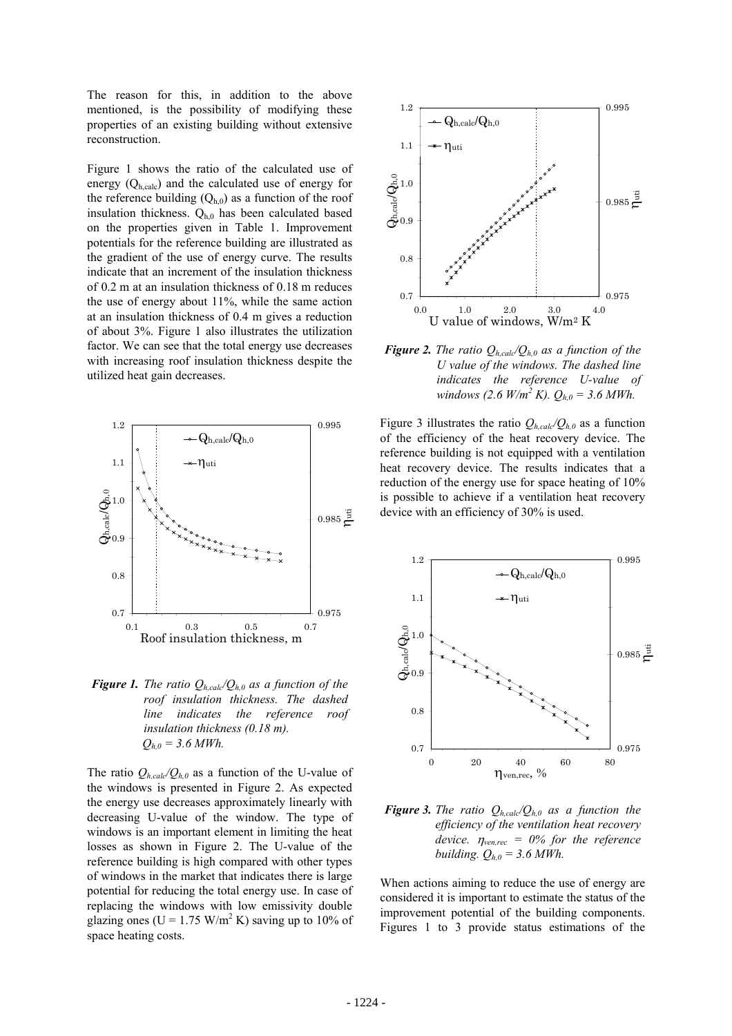The reason for this, in addition to the above mentioned, is the possibility of modifying these properties of an existing building without extensive reconstruction.

Figure 1 shows the ratio of the calculated use of energy  $(Q<sub>h,calc</sub>)$  and the calculated use of energy for the reference building  $(Q<sub>h,0</sub>)$  as a function of the roof insulation thickness.  $Q_{h,0}$  has been calculated based on the properties given in Table 1. Improvement potentials for the reference building are illustrated as the gradient of the use of energy curve. The results indicate that an increment of the insulation thickness of 0.2 m at an insulation thickness of 0.18 m reduces the use of energy about 11%, while the same action at an insulation thickness of 0.4 m gives a reduction of about 3%. Figure 1 also illustrates the utilization factor. We can see that the total energy use decreases with increasing roof insulation thickness despite the utilized heat gain decreases.



*Figure 1. The ratio*  $Q_{h, \text{calc}}/Q_{h,0}$  *as a function of the roof insulation thickness. The dashed line indicates the reference roof insulation thickness (0.18 m).*   $Q_{h,0} = 3.6$  *MWh.* 

The ratio  $Q_{h,cal}Q_{h,0}$  as a function of the U-value of the windows is presented in Figure 2. As expected the energy use decreases approximately linearly with decreasing U-value of the window. The type of windows is an important element in limiting the heat losses as shown in Figure 2. The U-value of the reference building is high compared with other types of windows in the market that indicates there is large potential for reducing the total energy use. In case of replacing the windows with low emissivity double glazing ones ( $U = 1.75$  W/m<sup>2</sup> K) saving up to 10% of space heating costs.



*Figure 2. The ratio*  $Q_{h,cal}/Q_{h,0}$  *as a function of the U value of the windows. The dashed line indicates the reference U-value of windows (2.6 W/m<sup>2</sup></sup> K).*  $Q_{h,0} = 3.6$  *MWh.* 

Figure 3 illustrates the ratio  $Q_{h,cal}/Q_{h,0}$  as a function of the efficiency of the heat recovery device. The reference building is not equipped with a ventilation heat recovery device. The results indicates that a reduction of the energy use for space heating of 10% is possible to achieve if a ventilation heat recovery device with an efficiency of 30% is used.



*Figure 3. The ratio*  $Q_{h,cal}/Q_{h,0}$  *as a function the efficiency of the ventilation heat recovery device.*  $\eta_{ven,rec} = 0\%$  for the reference *building.*  $Q_{h,0} = 3.6$  *MWh.* 

When actions aiming to reduce the use of energy are considered it is important to estimate the status of the improvement potential of the building components. Figures 1 to 3 provide status estimations of the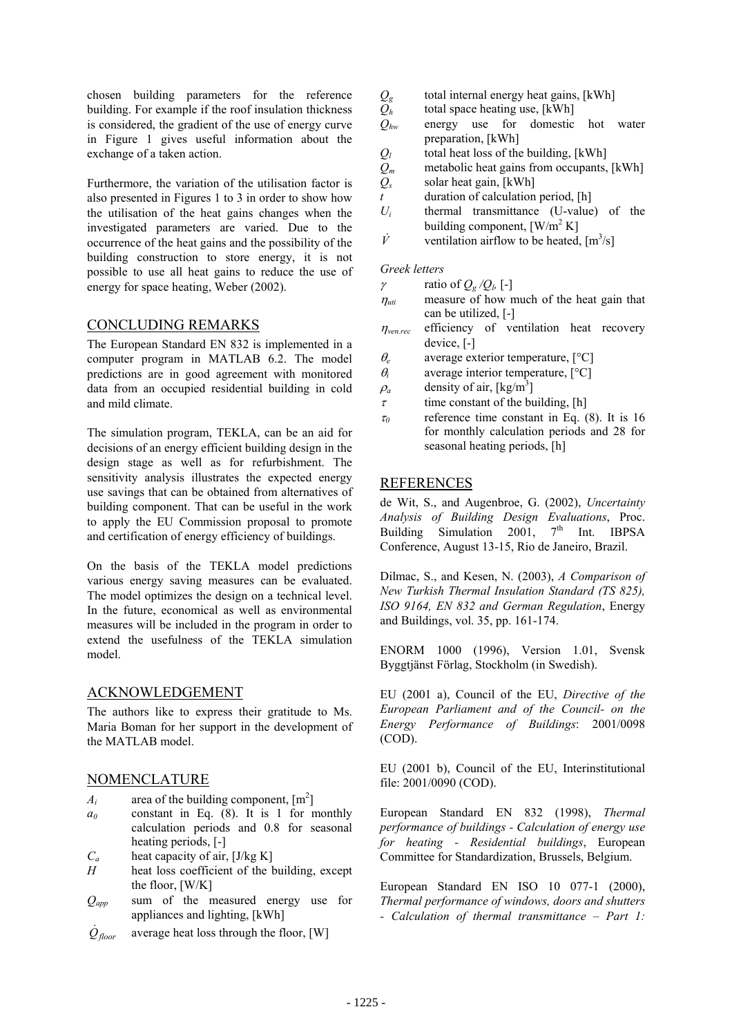chosen building parameters for the reference building. For example if the roof insulation thickness is considered, the gradient of the use of energy curve in Figure 1 gives useful information about the exchange of a taken action.

Furthermore, the variation of the utilisation factor is also presented in Figures 1 to 3 in order to show how the utilisation of the heat gains changes when the investigated parameters are varied. Due to the occurrence of the heat gains and the possibility of the building construction to store energy, it is not possible to use all heat gains to reduce the use of energy for space heating, Weber (2002).

# CONCLUDING REMARKS

The European Standard EN 832 is implemented in a computer program in MATLAB 6.2. The model predictions are in good agreement with monitored data from an occupied residential building in cold and mild climate.

The simulation program, TEKLA, can be an aid for decisions of an energy efficient building design in the design stage as well as for refurbishment. The sensitivity analysis illustrates the expected energy use savings that can be obtained from alternatives of building component. That can be useful in the work to apply the EU Commission proposal to promote and certification of energy efficiency of buildings.

On the basis of the TEKLA model predictions various energy saving measures can be evaluated. The model optimizes the design on a technical level. In the future, economical as well as environmental measures will be included in the program in order to extend the usefulness of the TEKLA simulation model.

### ACKNOWLEDGEMENT

The authors like to express their gratitude to Ms. Maria Boman for her support in the development of the MATLAB model.

### NOMENCLATURE

- $A_i$  area of the building component,  $[m^2]$
- *a0* constant in Eq. (8). It is 1 for monthly calculation periods and 0.8 for seasonal heating periods, [-]
- *C<sub>a</sub>* heat capacity of air, [J/kg K]
- *H* heat loss coefficient of the building, except the floor, [W/K]
- *Qapp* sum of the measured energy use for appliances and lighting, [kWh]
- *Qfloor* average heat loss through the floor, [W]
- $Q_{g}$  total internal energy heat gains, [kWh]
- $Q_h$  total space heating use, [kWh]
- *Qhw* energy use for domestic hot water preparation, [kWh]
- $Q_l$  total heat loss of the building,  $[kWh]$
- $Q_m$  metabolic heat gains from occupants, [kWh]<br> $Q_s$  solar heat gain, [kWh]
- solar heat gain, [kWh]
- *t* duration of calculation period, [h]
- *Ui* thermal transmittance (U-value) of the building component,  $\left[ W/m^2 K \right]$
- $\dot{V}$  ventilation airflow to be heated,  $[m^3/s]$

### *Greek letters*

- $γ$  ratio of  $Q_g/Q_h$  [-]
- $\eta_{\textit{uti}}$  measure of how much of the heat gain that can be utilized, [-]
- $\eta_{\text{vence}}$  efficiency of ventilation heat recovery device, [-]
- <sup>θ</sup>*e* average exterior temperature, [°C]
- $\theta_i$  average interior temperature,  $[^{\circ}C]$
- $\rho_a$  density of air, [kg/m<sup>3</sup>]
- $\tau$  time constant of the building, [h]
- $\tau_0$  reference time constant in Eq. (8). It is 16 for monthly calculation periods and 28 for seasonal heating periods, [h]

## REFERENCES

de Wit, S., and Augenbroe, G. (2002), *Uncertainty Analysis of Building Design Evaluations*, Proc. Building Simulation 2001,  $7<sup>th</sup>$  Int. IBPSA Conference, August 13-15, Rio de Janeiro, Brazil.

Dilmac, S., and Kesen, N. (2003), *A Comparison of New Turkish Thermal Insulation Standard (TS 825), ISO 9164, EN 832 and German Regulation*, Energy and Buildings, vol. 35, pp. 161-174.

ENORM 1000 (1996), Version 1.01, Svensk Byggtjänst Förlag, Stockholm (in Swedish).

EU (2001 a), Council of the EU, *Directive of the European Parliament and of the Council- on the Energy Performance of Buildings*: 2001/0098 (COD).

EU (2001 b), Council of the EU, Interinstitutional file: 2001/0090 (COD).

European Standard EN 832 (1998), *Thermal performance of buildings - Calculation of energy use for heating - Residential buildings*, European Committee for Standardization, Brussels, Belgium.

European Standard EN ISO 10 077-1 (2000), *Thermal performance of windows, doors and shutters - Calculation of thermal transmittance – Part 1:*